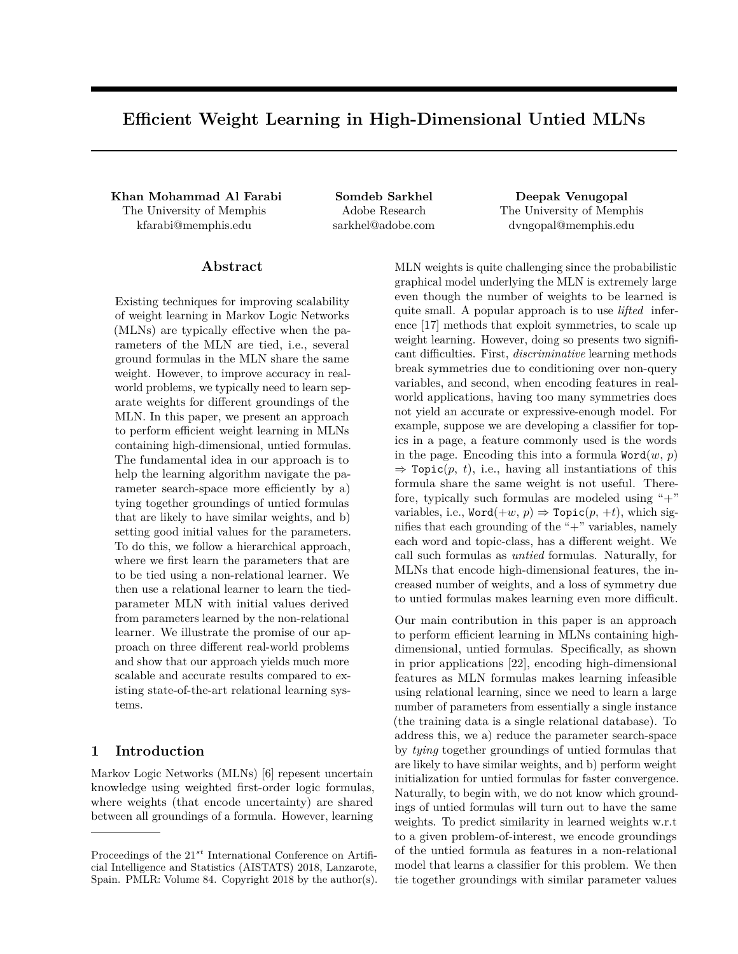# **Efficient Weight Learning in High-Dimensional Untied MLNs**

**Khan Mohammad Al Farabi Somdeb Sarkhel Deepak Venugopal** The University of Memphis kfarabi@memphis.edu

Adobe Research sarkhel@adobe.com The University of Memphis dvngopal@memphis.edu

### **Abstract**

Existing techniques for improving scalability of weight learning in Markov Logic Networks (MLNs) are typically effective when the parameters of the MLN are tied, i.e., several ground formulas in the MLN share the same weight. However, to improve accuracy in realworld problems, we typically need to learn separate weights for different groundings of the MLN. In this paper, we present an approach to perform efficient weight learning in MLNs containing high-dimensional, untied formulas. The fundamental idea in our approach is to help the learning algorithm navigate the parameter search-space more efficiently by a) tying together groundings of untied formulas that are likely to have similar weights, and b) setting good initial values for the parameters. To do this, we follow a hierarchical approach, where we first learn the parameters that are to be tied using a non-relational learner. We then use a relational learner to learn the tiedparameter MLN with initial values derived from parameters learned by the non-relational learner. We illustrate the promise of our approach on three different real-world problems and show that our approach yields much more scalable and accurate results compared to existing state-of-the-art relational learning systems.

### **1 Introduction**

Markov Logic Networks (MLNs) [6] repesent uncertain knowledge using weighted first-order logic formulas, where weights (that encode uncertainty) are shared between all groundings of a formula. However, learning MLN weights is quite challenging since the probabilistic graphical model underlying the MLN is extremely large even though the number of weights to be learned is quite small. A popular approach is to use *lifted* inference [17] methods that exploit symmetries, to scale up weight learning. However, doing so presents two significant difficulties. First, *discriminative* learning methods break symmetries due to conditioning over non-query variables, and second, when encoding features in realworld applications, having too many symmetries does not yield an accurate or expressive-enough model. For example, suppose we are developing a classifier for topics in a page, a feature commonly used is the words in the page. Encoding this into a formula  $Word(w, p)$  $\Rightarrow$  Topic(p, t), i.e., having all instantiations of this formula share the same weight is not useful. Therefore, typically such formulas are modeled using " $+$ " variables, i.e.,  $Word(+w, p) \Rightarrow Topic(p, +t)$ , which signifies that each grounding of the " $+$ " variables, namely each word and topic-class, has a different weight. We call such formulas as *untied* formulas. Naturally, for MLNs that encode high-dimensional features, the increased number of weights, and a loss of symmetry due to untied formulas makes learning even more difficult.

Our main contribution in this paper is an approach to perform efficient learning in MLNs containing highdimensional, untied formulas. Specifically, as shown in prior applications [22], encoding high-dimensional features as MLN formulas makes learning infeasible using relational learning, since we need to learn a large number of parameters from essentially a single instance (the training data is a single relational database). To address this, we a) reduce the parameter search-space by *tying* together groundings of untied formulas that are likely to have similar weights, and b) perform weight initialization for untied formulas for faster convergence. Naturally, to begin with, we do not know which groundings of untied formulas will turn out to have the same weights. To predict similarity in learned weights w.r.t to a given problem-of-interest, we encode groundings of the untied formula as features in a non-relational model that learns a classifier for this problem. We then tie together groundings with similar parameter values

Proceedings of the 21*st* International Conference on Artificial Intelligence and Statistics (AISTATS) 2018, Lanzarote, Spain. PMLR: Volume 84. Copyright 2018 by the author(s).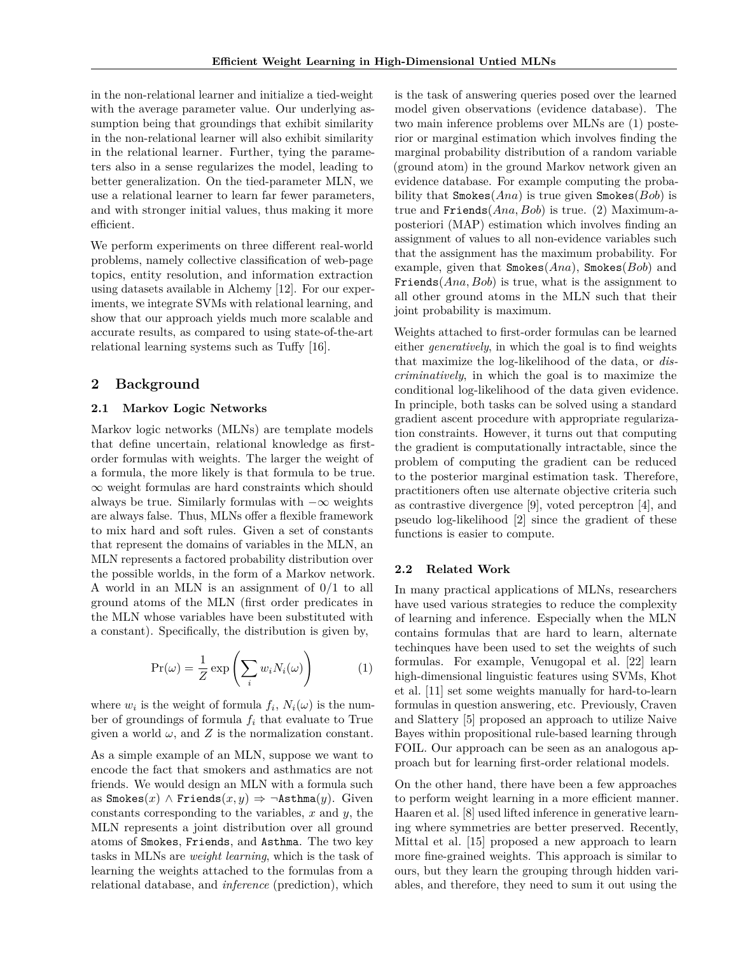in the non-relational learner and initialize a tied-weight with the average parameter value. Our underlying assumption being that groundings that exhibit similarity in the non-relational learner will also exhibit similarity in the relational learner. Further, tying the parameters also in a sense regularizes the model, leading to better generalization. On the tied-parameter MLN, we use a relational learner to learn far fewer parameters, and with stronger initial values, thus making it more efficient.

We perform experiments on three different real-world problems, namely collective classification of web-page topics, entity resolution, and information extraction using datasets available in Alchemy [12]. For our experiments, we integrate SVMs with relational learning, and show that our approach yields much more scalable and accurate results, as compared to using state-of-the-art relational learning systems such as Tuffy [16].

### **2 Background**

#### **2.1 Markov Logic Networks**

Markov logic networks (MLNs) are template models that define uncertain, relational knowledge as firstorder formulas with weights. The larger the weight of a formula, the more likely is that formula to be true. ∞ weight formulas are hard constraints which should always be true. Similarly formulas with  $-\infty$  weights are always false. Thus, MLNs offer a flexible framework to mix hard and soft rules. Given a set of constants that represent the domains of variables in the MLN, an MLN represents a factored probability distribution over the possible worlds, in the form of a Markov network. A world in an MLN is an assignment of 0/1 to all ground atoms of the MLN (first order predicates in the MLN whose variables have been substituted with a constant). Specifically, the distribution is given by,

$$
\Pr(\omega) = \frac{1}{Z} \exp\left(\sum_{i} w_i N_i(\omega)\right) \tag{1}
$$

where  $w_i$  is the weight of formula  $f_i$ ,  $N_i(\omega)$  is the number of groundings of formula *f<sup>i</sup>* that evaluate to True given a world  $\omega$ , and  $Z$  is the normalization constant.

As a simple example of an MLN, suppose we want to encode the fact that smokers and asthmatics are not friends. We would design an MLN with a formula such as Smokes $(x)$  ∧ Friends $(x, y)$  ⇒  $\neg$ Asthma $(y)$ . Given constants corresponding to the variables, *x* and *y*, the MLN represents a joint distribution over all ground atoms of Smokes, Friends, and Asthma. The two key tasks in MLNs are *weight learning*, which is the task of learning the weights attached to the formulas from a relational database, and *inference* (prediction), which

is the task of answering queries posed over the learned model given observations (evidence database). The two main inference problems over MLNs are (1) posterior or marginal estimation which involves finding the marginal probability distribution of a random variable (ground atom) in the ground Markov network given an evidence database. For example computing the probability that Smokes(*Ana*) is true given Smokes(*Bob*) is true and Friends(*Ana, Bob*) is true. (2) Maximum-aposteriori (MAP) estimation which involves finding an assignment of values to all non-evidence variables such that the assignment has the maximum probability. For example, given that Smokes(*Ana*), Smokes(*Bob*) and Friends(*Ana, Bob*) is true, what is the assignment to all other ground atoms in the MLN such that their joint probability is maximum.

Weights attached to first-order formulas can be learned either *generatively*, in which the goal is to find weights that maximize the log-likelihood of the data, or *discriminatively*, in which the goal is to maximize the conditional log-likelihood of the data given evidence. In principle, both tasks can be solved using a standard gradient ascent procedure with appropriate regularization constraints. However, it turns out that computing the gradient is computationally intractable, since the problem of computing the gradient can be reduced to the posterior marginal estimation task. Therefore, practitioners often use alternate objective criteria such as contrastive divergence [9], voted perceptron [4], and pseudo log-likelihood [2] since the gradient of these functions is easier to compute.

#### **2.2 Related Work**

In many practical applications of MLNs, researchers have used various strategies to reduce the complexity of learning and inference. Especially when the MLN contains formulas that are hard to learn, alternate techinques have been used to set the weights of such formulas. For example, Venugopal et al. [22] learn high-dimensional linguistic features using SVMs, Khot et al. [11] set some weights manually for hard-to-learn formulas in question answering, etc. Previously, Craven and Slattery [5] proposed an approach to utilize Naive Bayes within propositional rule-based learning through FOIL. Our approach can be seen as an analogous approach but for learning first-order relational models.

On the other hand, there have been a few approaches to perform weight learning in a more efficient manner. Haaren et al. [8] used lifted inference in generative learning where symmetries are better preserved. Recently, Mittal et al. [15] proposed a new approach to learn more fine-grained weights. This approach is similar to ours, but they learn the grouping through hidden variables, and therefore, they need to sum it out using the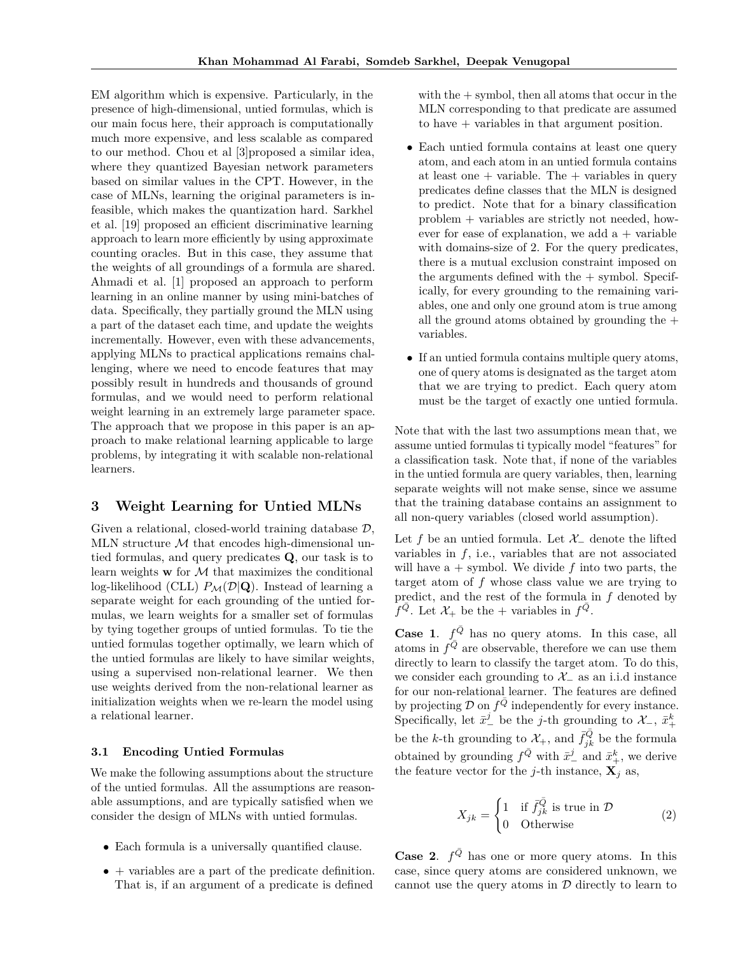EM algorithm which is expensive. Particularly, in the presence of high-dimensional, untied formulas, which is our main focus here, their approach is computationally much more expensive, and less scalable as compared to our method. Chou et al [3]proposed a similar idea, where they quantized Bayesian network parameters based on similar values in the CPT. However, in the case of MLNs, learning the original parameters is infeasible, which makes the quantization hard. Sarkhel et al. [19] proposed an efficient discriminative learning approach to learn more efficiently by using approximate counting oracles. But in this case, they assume that the weights of all groundings of a formula are shared. Ahmadi et al. [1] proposed an approach to perform learning in an online manner by using mini-batches of data. Specifically, they partially ground the MLN using a part of the dataset each time, and update the weights incrementally. However, even with these advancements, applying MLNs to practical applications remains challenging, where we need to encode features that may possibly result in hundreds and thousands of ground formulas, and we would need to perform relational weight learning in an extremely large parameter space. The approach that we propose in this paper is an approach to make relational learning applicable to large problems, by integrating it with scalable non-relational learners.

### **3 Weight Learning for Untied MLNs**

Given a relational, closed-world training database  $\mathcal{D}$ , MLN structure  $M$  that encodes high-dimensional untied formulas, and query predicates **Q**, our task is to learn weights  $\bf{w}$  for  $\cal{M}$  that maximizes the conditional log-likelihood (CLL)  $P_{\mathcal{M}}(\mathcal{D}|\mathbf{Q})$ . Instead of learning a separate weight for each grounding of the untied formulas, we learn weights for a smaller set of formulas by tying together groups of untied formulas. To tie the untied formulas together optimally, we learn which of the untied formulas are likely to have similar weights, using a supervised non-relational learner. We then use weights derived from the non-relational learner as initialization weights when we re-learn the model using a relational learner.

#### **3.1 Encoding Untied Formulas**

We make the following assumptions about the structure of the untied formulas. All the assumptions are reasonable assumptions, and are typically satisfied when we consider the design of MLNs with untied formulas.

- Each formula is a universally quantified clause.
- $\bullet$  + variables are a part of the predicate definition. That is, if an argument of a predicate is defined

with the  $+$  symbol, then all atoms that occur in the MLN corresponding to that predicate are assumed to have + variables in that argument position.

- Each untied formula contains at least one query atom, and each atom in an untied formula contains at least one  $+$  variable. The  $+$  variables in query predicates define classes that the MLN is designed to predict. Note that for a binary classification problem + variables are strictly not needed, however for ease of explanation, we add  $a +$  variable with domains-size of 2. For the query predicates, there is a mutual exclusion constraint imposed on the arguments defined with the  $+$  symbol. Specifically, for every grounding to the remaining variables, one and only one ground atom is true among all the ground atoms obtained by grounding the  $+$ variables.
- If an untied formula contains multiple query atoms, one of query atoms is designated as the target atom that we are trying to predict. Each query atom must be the target of exactly one untied formula.

Note that with the last two assumptions mean that, we assume untied formulas ti typically model "features" for a classification task. Note that, if none of the variables in the untied formula are query variables, then, learning separate weights will not make sense, since we assume that the training database contains an assignment to all non-query variables (closed world assumption).

Let f be an untied formula. Let  $\mathcal{X}_-$  denote the lifted variables in *f*, i.e., variables that are not associated will have  $a +$  symbol. We divide  $f$  into two parts, the target atom of *f* whose class value we are trying to predict, and the rest of the formula in *f* denoted by  $\hat{f}^{\bar{Q}}$ . Let  $\mathcal{X}_+$  be the + variables in  $f^{\bar{Q}}$ .

**Case 1.**  $f^{\bar{Q}}$  has no query atoms. In this case, all atoms in  $f^{\overline{Q}}$  are observable, therefore we can use them directly to learn to classify the target atom. To do this, we consider each grounding to  $\mathcal{X}_-$  as an i.i.d instance for our non-relational learner. The features are defined by projecting  $\mathcal D$  on  $f^{\bar Q}$  independently for every instance. Specifically, let  $\bar{x}^j$  be the *j*-th grounding to  $\mathcal{X}_-$ ,  $\bar{x}^k_+$ be the *k*-th grounding to  $\mathcal{X}_{+}$ , and  $\bar{f}_{jk}^{\bar{Q}}$  be the formula obtained by grounding  $f^{\bar{Q}}$  with  $\bar{x}^j_-$  and  $\bar{x}^k_+$ , we derive the feature vector for the *j*-th instance,  $\mathbf{X}_i$  as,

$$
X_{jk} = \begin{cases} 1 & \text{if } \bar{f}_{jk}^{\bar{Q}} \text{ is true in } \mathcal{D} \\ 0 & \text{Otherwise} \end{cases}
$$
 (2)

**Case 2.**  $f^{\bar{Q}}$  has one or more query atoms. In this case, since query atoms are considered unknown, we cannot use the query atoms in  $\mathcal D$  directly to learn to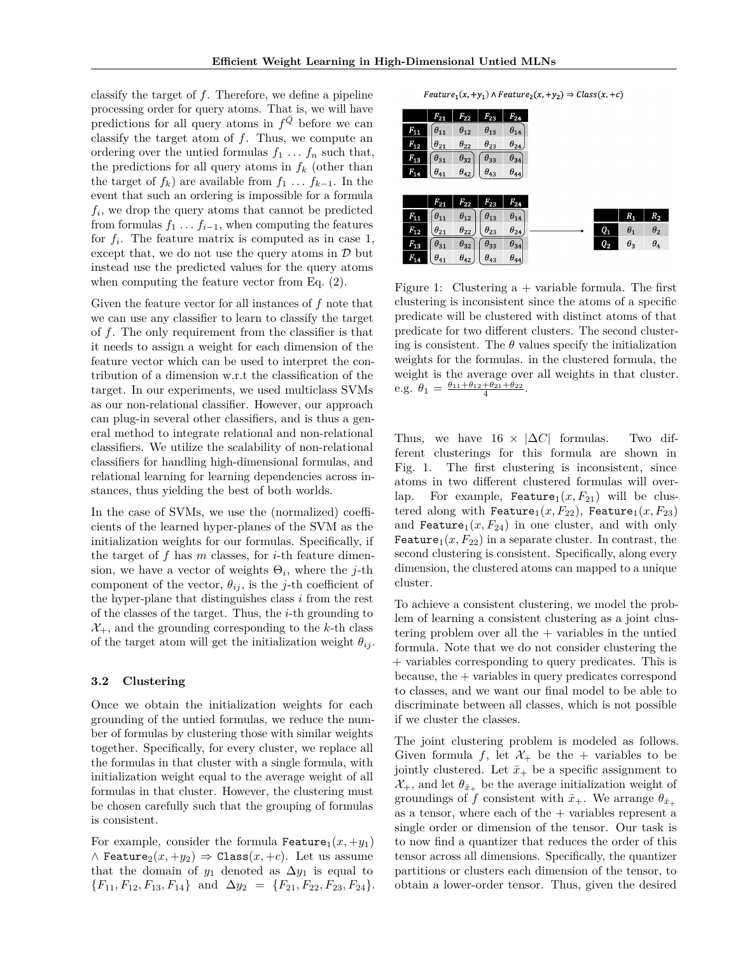classify the target of *f*. Therefore, we define a pipeline processing order for query atoms. That is, we will have predictions for all query atoms in  $f^{\bar{Q}}$  before we can classify the target atom of *f*. Thus, we compute an ordering over the untied formulas  $f_1 \ldots f_n$  such that, the predictions for all query atoms in  $f_k$  (other than the target of  $f_k$ ) are available from  $f_1 \ldots f_{k-1}$ . In the event that such an ordering is impossible for a formula *fi* , we drop the query atoms that cannot be predicted from formulas  $f_1 \ldots f_{i-1}$ , when computing the features for  $f_i$ . The feature matrix is computed as in case 1, except that, we do not use the query atoms in  $\mathcal D$  but instead use the predicted values for the query atoms when computing the feature vector from Eq. (2).

Given the feature vector for all instances of *f* note that we can use any classifier to learn to classify the target of *f*. The only requirement from the classifier is that it needs to assign a weight for each dimension of the feature vector which can be used to interpret the contribution of a dimension w.r.t the classification of the target. In our experiments, we used multiclass SVMs as our non-relational classifier. However, our approach can plug-in several other classifiers, and is thus a general method to integrate relational and non-relational classifiers. We utilize the scalability of non-relational classifiers for handling high-dimensional formulas, and relational learning for learning dependencies across instances, thus yielding the best of both worlds.

In the case of SVMs, we use the (normalized) coefficients of the learned hyper-planes of the SVM as the initialization weights for our formulas. Specifically, if the target of *f* has *m* classes, for *i*-th feature dimension, we have a vector of weights Θ*<sup>i</sup>* , where the *j*-th component of the vector,  $\theta_{ij}$ , is the *j*-th coefficient of the hyper-plane that distinguishes class *i* from the rest of the classes of the target. Thus, the *i*-th grounding to  $\mathcal{X}_+$ , and the grounding corresponding to the *k*-th class of the target atom will get the initialization weight  $\theta_{ij}$ .

#### **3.2 Clustering**

Once we obtain the initialization weights for each grounding of the untied formulas, we reduce the number of formulas by clustering those with similar weights together. Specifically, for every cluster, we replace all the formulas in that cluster with a single formula, with initialization weight equal to the average weight of all formulas in that cluster. However, the clustering must be chosen carefully such that the grouping of formulas is consistent.

For example, consider the formula Feature<sub>1</sub> $(x, +y_1)$  $\wedge$  Feature<sub>2</sub> $(x, +y_2) \Rightarrow$  Class $(x, +c)$ . Let us assume that the domain of  $y_1$  denoted as  $\Delta y_1$  is equal to  ${F_{11}, F_{12}, F_{13}, F_{14}}$  and  $\Delta y_2 = {F_{21}, F_{22}, F_{23}, F_{24}}$ .

Feature<sub>1</sub> $(x, +y_1)$   $\land$  Feature<sub>2</sub> $(x, +y_2) \Rightarrow Class(x, +c)$ 

|          | $F_{21}$      | $F_{22}$      | $F_{23}$      | $F_{24}$      |
|----------|---------------|---------------|---------------|---------------|
| $F_{11}$ | $\theta_{11}$ | $\theta_{12}$ | $\theta_{13}$ | $\theta_{14}$ |
| $F_{12}$ | $\theta_{21}$ | $\theta_{22}$ | $\theta_{23}$ | $\theta_{24}$ |
| $F_{13}$ | $\theta_{31}$ | $\theta_{32}$ | $\theta_{33}$ | $\theta_{34}$ |
| $F_{14}$ | $\theta_{41}$ | $\theta_{42}$ | $\theta_{43}$ | $\theta_{44}$ |
|          |               |               |               |               |
|          |               |               |               |               |
|          | $F_{21}$      | $F_{22}$      | $F_{23}$      | $F_{24}$      |
| $F_{11}$ | $\theta_{11}$ | $\theta_{12}$ | $\theta_{13}$ | $\theta_{14}$ |
| $F_{12}$ | $\theta_{21}$ | $\theta_{22}$ | $\theta_{23}$ | $\theta_{24}$ |
| $F_{13}$ | $\theta_{31}$ | $\theta_{32}$ | $\theta_{33}$ | $\theta_{34}$ |

Figure 1: Clustering  $a +$  variable formula. The first clustering is inconsistent since the atoms of a specific predicate will be clustered with distinct atoms of that predicate for two different clusters. The second clustering is consistent. The  $\theta$  values specify the initialization weights for the formulas. in the clustered formula, the weight is the average over all weights in that cluster. e.g.  $\theta_1 = \frac{\theta_{11} + \theta_{12} + \theta_{21} + \theta_{22}}{4}$ .

Thus, we have  $16 \times |\Delta C|$  formulas. Two different clusterings for this formula are shown in Fig. 1. The first clustering is inconsistent, since atoms in two different clustered formulas will overlap. For example, **Feature**<sub>1</sub> $(x, F_{21})$  will be clustered along with Feature<sub>1</sub> $(x, F_{22})$ , Feature<sub>1</sub> $(x, F_{23})$ and Feature<sub>1</sub> $(x, F_{24})$  in one cluster, and with only Feature<sub>1</sub> $(x, F_{22})$  in a separate cluster. In contrast, the second clustering is consistent. Specifically, along every dimension, the clustered atoms can mapped to a unique cluster.

To achieve a consistent clustering, we model the problem of learning a consistent clustering as a joint clustering problem over all the  $+$  variables in the untied formula. Note that we do not consider clustering the + variables corresponding to query predicates. This is because, the + variables in query predicates correspond to classes, and we want our final model to be able to discriminate between all classes, which is not possible if we cluster the classes.

The joint clustering problem is modeled as follows. Given formula *f*, let  $\mathcal{X}_+$  be the + variables to be jointly clustered. Let  $\bar{x}_+$  be a specific assignment to  $\mathcal{X}_{+}$ , and let  $\theta_{\bar{x}_{+}}$  be the average initialization weight of groundings of *f* consistent with  $\bar{x}_+$ . We arrange  $\theta_{\bar{x}_+}$ as a tensor, where each of the  $+$  variables represent a single order or dimension of the tensor. Our task is to now find a quantizer that reduces the order of this tensor across all dimensions. Specifically, the quantizer partitions or clusters each dimension of the tensor, to obtain a lower-order tensor. Thus, given the desired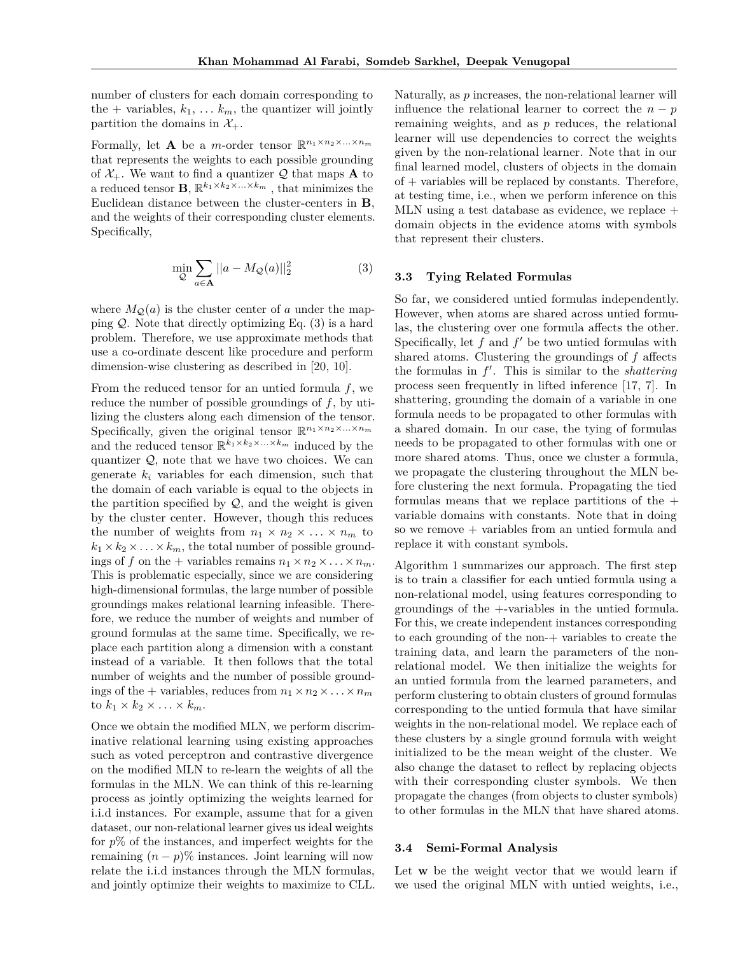number of clusters for each domain corresponding to the  $+$  variables,  $k_1, \ldots k_m$ , the quantizer will jointly partition the domains in  $\mathcal{X}_+$ .

Formally, let **A** be a *m*-order tensor  $\mathbb{R}^{n_1 \times n_2 \times ... \times n_m}$ that represents the weights to each possible grounding of  $\mathcal{X}_+$ . We want to find a quantizer  $\mathcal{Q}$  that maps **A** to a reduced tensor **B**,  $\mathbb{R}^{k_1 \times k_2 \times \ldots \times k_m}$ , that minimizes the Euclidean distance between the cluster-centers in **B**, and the weights of their corresponding cluster elements. Specifically,

$$
\min_{\mathcal{Q}} \sum_{a \in \mathbf{A}} ||a - M_{\mathcal{Q}}(a)||_2^2 \tag{3}
$$

where  $M_{\mathcal{Q}}(a)$  is the cluster center of *a* under the mapping  $Q$ . Note that directly optimizing Eq.  $(3)$  is a hard problem. Therefore, we use approximate methods that use a co-ordinate descent like procedure and perform dimension-wise clustering as described in [20, 10].

From the reduced tensor for an untied formula *f*, we reduce the number of possible groundings of *f*, by utilizing the clusters along each dimension of the tensor. Specifically, given the original tensor  $\mathbb{R}^{n_1 \times n_2 \times \ldots \times n_m}$ and the reduced tensor  $\mathbb{R}^{\bar{k_1} \times k_2 \times \ldots \times k_m}$  induced by the quantizer  $Q$ , note that we have two choices. We can generate  $k_i$  variables for each dimension, such that the domain of each variable is equal to the objects in the partition specified by  $Q$ , and the weight is given by the cluster center. However, though this reduces the number of weights from  $n_1 \times n_2 \times \ldots \times n_m$  to  $k_1 \times k_2 \times \ldots \times k_m$ , the total number of possible groundings of f on the + variables remains  $n_1 \times n_2 \times \ldots \times n_m$ . This is problematic especially, since we are considering high-dimensional formulas, the large number of possible groundings makes relational learning infeasible. Therefore, we reduce the number of weights and number of ground formulas at the same time. Specifically, we replace each partition along a dimension with a constant instead of a variable. It then follows that the total number of weights and the number of possible groundings of the + variables, reduces from  $n_1 \times n_2 \times \ldots \times n_m$ to  $k_1 \times k_2 \times \ldots \times k_m$ .

Once we obtain the modified MLN, we perform discriminative relational learning using existing approaches such as voted perceptron and contrastive divergence on the modified MLN to re-learn the weights of all the formulas in the MLN. We can think of this re-learning process as jointly optimizing the weights learned for i.i.d instances. For example, assume that for a given dataset, our non-relational learner gives us ideal weights for *p*% of the instances, and imperfect weights for the remaining  $(n - p)$ % instances. Joint learning will now relate the i.i.d instances through the MLN formulas, and jointly optimize their weights to maximize to CLL.

Naturally, as *p* increases, the non-relational learner will influence the relational learner to correct the  $n - p$ remaining weights, and as *p* reduces, the relational learner will use dependencies to correct the weights given by the non-relational learner. Note that in our final learned model, clusters of objects in the domain of + variables will be replaced by constants. Therefore, at testing time, i.e., when we perform inference on this MLN using a test database as evidence, we replace  $+$ domain objects in the evidence atoms with symbols that represent their clusters.

#### **3.3 Tying Related Formulas**

So far, we considered untied formulas independently. However, when atoms are shared across untied formulas, the clustering over one formula affects the other. Specifically, let  $f$  and  $f'$  be two untied formulas with shared atoms. Clustering the groundings of *f* affects the formulas in  $f'$ . This is similar to the *shattering* process seen frequently in lifted inference [17, 7]. In shattering, grounding the domain of a variable in one formula needs to be propagated to other formulas with a shared domain. In our case, the tying of formulas needs to be propagated to other formulas with one or more shared atoms. Thus, once we cluster a formula, we propagate the clustering throughout the MLN before clustering the next formula. Propagating the tied formulas means that we replace partitions of the  $+$ variable domains with constants. Note that in doing so we remove + variables from an untied formula and replace it with constant symbols.

Algorithm 1 summarizes our approach. The first step is to train a classifier for each untied formula using a non-relational model, using features corresponding to groundings of the +-variables in the untied formula. For this, we create independent instances corresponding to each grounding of the non-+ variables to create the training data, and learn the parameters of the nonrelational model. We then initialize the weights for an untied formula from the learned parameters, and perform clustering to obtain clusters of ground formulas corresponding to the untied formula that have similar weights in the non-relational model. We replace each of these clusters by a single ground formula with weight initialized to be the mean weight of the cluster. We also change the dataset to reflect by replacing objects with their corresponding cluster symbols. We then propagate the changes (from objects to cluster symbols) to other formulas in the MLN that have shared atoms.

#### **3.4 Semi-Formal Analysis**

Let **w** be the weight vector that we would learn if we used the original MLN with untied weights, i.e.,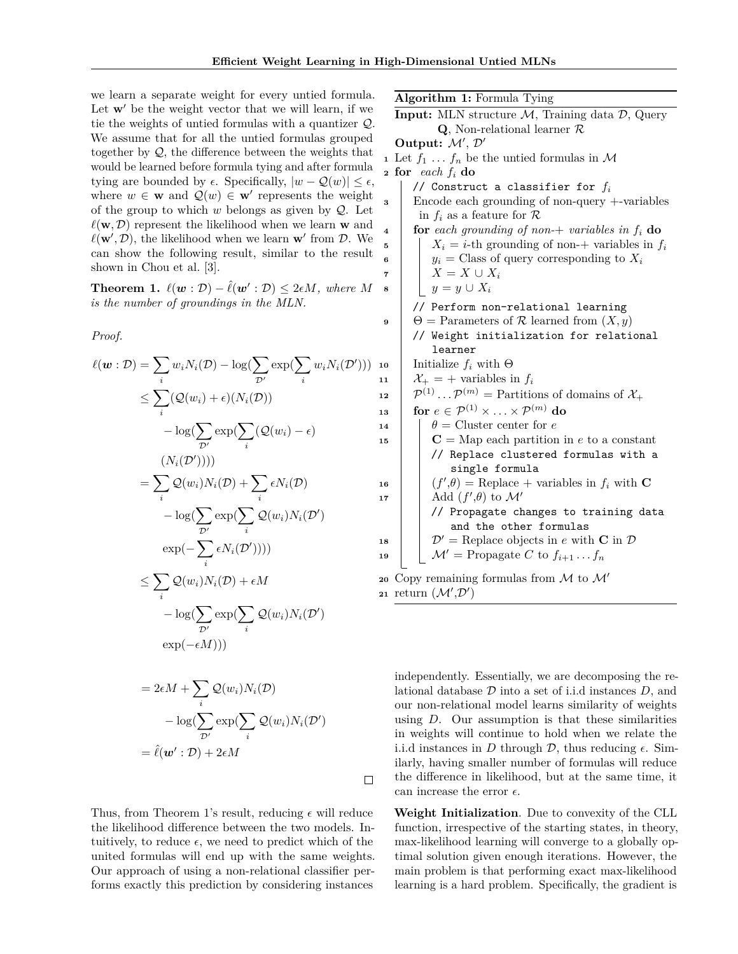we learn a separate weight for every untied formula. Let  $w'$  be the weight vector that we will learn, if we tie the weights of untied formulas with a quantizer Q. We assume that for all the untied formulas grouped together by  $Q$ , the difference between the weights that would be learned before formula tying and after formula tying are bounded by  $\epsilon$ . Specifically,  $|w - \mathcal{Q}(w)| \leq \epsilon$ , where  $w \in \mathbf{w}$  and  $\mathcal{Q}(w) \in \mathbf{w}'$  represents the weight of the group to which  $w$  belongs as given by  $Q$ . Let  $\ell(\mathbf{w}, \mathcal{D})$  represent the likelihood when we learn **w** and  $\ell(\mathbf{w}', \mathcal{D})$ , the likelihood when we learn  $\mathbf{w}'$  from  $\mathcal{D}$ . We can show the following result, similar to the result shown in Chou et al. [3].

**Theorem 1.**  $\ell(\mathbf{w} : \mathcal{D}) - \hat{\ell}(\mathbf{w}' : \mathcal{D}) \leq 2\epsilon M$ , where M *is the number of groundings in the MLN.*

*Proof.*

$$
\ell(\boldsymbol{w} : \mathcal{D}) = \sum_{i} w_{i} N_{i}(\mathcal{D}) - \log(\sum_{\mathcal{D}'} \exp(\sum_{i} w_{i} N_{i}(\mathcal{D}')))
$$
  
\n
$$
\leq \sum_{i} (\mathcal{Q}(w_{i}) + \epsilon)(N_{i}(\mathcal{D}))
$$
  
\n
$$
- \log(\sum_{\mathcal{D}'} \exp(\sum_{i} (\mathcal{Q}(w_{i}) - \epsilon))
$$
  
\n
$$
(N_{i}(\mathcal{D}'))))
$$
  
\n
$$
= \sum_{i} \mathcal{Q}(w_{i}) N_{i}(\mathcal{D}) + \sum_{i} \epsilon N_{i}(\mathcal{D})
$$
  
\n
$$
- \log(\sum_{\mathcal{D}'} \exp(\sum_{i} \mathcal{Q}(w_{i}) N_{i}(\mathcal{D}'))
$$
  
\n
$$
\leq \sum_{i} \mathcal{Q}(w_{i}) N_{i}(\mathcal{D}) + \epsilon M
$$
  
\n
$$
- \log(\sum_{\mathcal{D}'} \exp(\sum_{i} \mathcal{Q}(w_{i}) N_{i}(\mathcal{D}'))
$$
  
\n
$$
\exp(-\epsilon M)))
$$
  
\n
$$
= 2\epsilon M + \sum \mathcal{Q}(w_{i}) N_{i}(\mathcal{D})
$$

$$
= 2\epsilon M + \sum_{i} Q(w_i) N_i(D)
$$

$$
- \log(\sum_{D'} \exp(\sum_{i} Q(w_i) N_i(D'))
$$

$$
= \hat{\ell}(\mathbf{w'} : \mathcal{D}) + 2\epsilon M
$$

 $\Box$ 

Thus, from Theorem 1's result, reducing  $\epsilon$  will reduce the likelihood difference between the two models. Intuitively, to reduce  $\epsilon$ , we need to predict which of the united formulas will end up with the same weights. Our approach of using a non-relational classifier performs exactly this prediction by considering instances

|    | Algorithm 1: Formula Tying                                                            |
|----|---------------------------------------------------------------------------------------|
|    | <b>Input:</b> MLN structure $M$ , Training data $\mathcal{D}$ , Query                 |
|    | $Q$ , Non-relational learner $R$                                                      |
|    | Output: $\mathcal{M}', \mathcal{D}'$                                                  |
|    | 1 Let $f_1 \ldots f_n$ be the untied formulas in M                                    |
|    | 2 for each $f_i$ do                                                                   |
|    | // Construct a classifier for $f_i$                                                   |
| 3  | Encode each grounding of non-query $+$ -variables                                     |
|    | in $f_i$ as a feature for $\mathcal R$                                                |
| 4  | for each grounding of non-+ variables in $f_i$ do                                     |
| 5  | $X_i = i$ -th grounding of non-+ variables in $f_i$                                   |
| 6  | $y_i$ = Class of query corresponding to $X_i$                                         |
| 7  | $X = X \cup X_i$                                                                      |
| 8  | $y=y\cup X_i$                                                                         |
|    | // Perform non-relational learning                                                    |
| 9  | $\Theta$ = Parameters of R learned from $(X, y)$                                      |
|    | // Weight initialization for relational                                               |
|    | learner                                                                               |
| 10 | Initialize $f_i$ with $\Theta$                                                        |
| 11 | $\mathcal{X}_+$ = + variables in $f_i$                                                |
| 12 | $\mathcal{P}^{(1)}\cdots\mathcal{P}^{(m)}$ = Partitions of domains of $\mathcal{X}_+$ |
| 13 | for $e \in \mathcal{P}^{(1)} \times \ldots \times \mathcal{P}^{(m)}$ do               |
| 14 | $\theta$ = Cluster center for e                                                       |
| 15 | $C = Map$ each partition in e to a constant                                           |
|    | // Replace clustered formulas with a                                                  |
|    | single formula                                                                        |
| 16 | $(f',\theta)$ = Replace + variables in $f_i$ with <b>C</b>                            |
| 17 | Add $(f', \theta)$ to $\mathcal{M}'$                                                  |
|    | // Propagate changes to training data<br>and the other formulas                       |
|    | $\mathcal{D}' =$ Replace objects in e with C in $\mathcal{D}$                         |
| 18 | $\mathcal{M}' =$ Propagate C to $f_{i+1} \dots f_n$                                   |
| 19 |                                                                                       |
| 20 | Copy remaining formulas from $M$ to $M'$                                              |
|    | 21 return $(\mathcal{M}', \mathcal{D}')$                                              |
|    |                                                                                       |

independently. Essentially, we are decomposing the relational database D into a set of i.i.d instances *D*, and our non-relational model learns similarity of weights using *D*. Our assumption is that these similarities in weights will continue to hold when we relate the i.i.d instances in *D* through  $\mathcal{D}$ , thus reducing  $\epsilon$ . Similarly, having smaller number of formulas will reduce the difference in likelihood, but at the same time, it can increase the error  $\epsilon$ .

**Weight Initialization**. Due to convexity of the CLL function, irrespective of the starting states, in theory, max-likelihood learning will converge to a globally optimal solution given enough iterations. However, the main problem is that performing exact max-likelihood learning is a hard problem. Specifically, the gradient is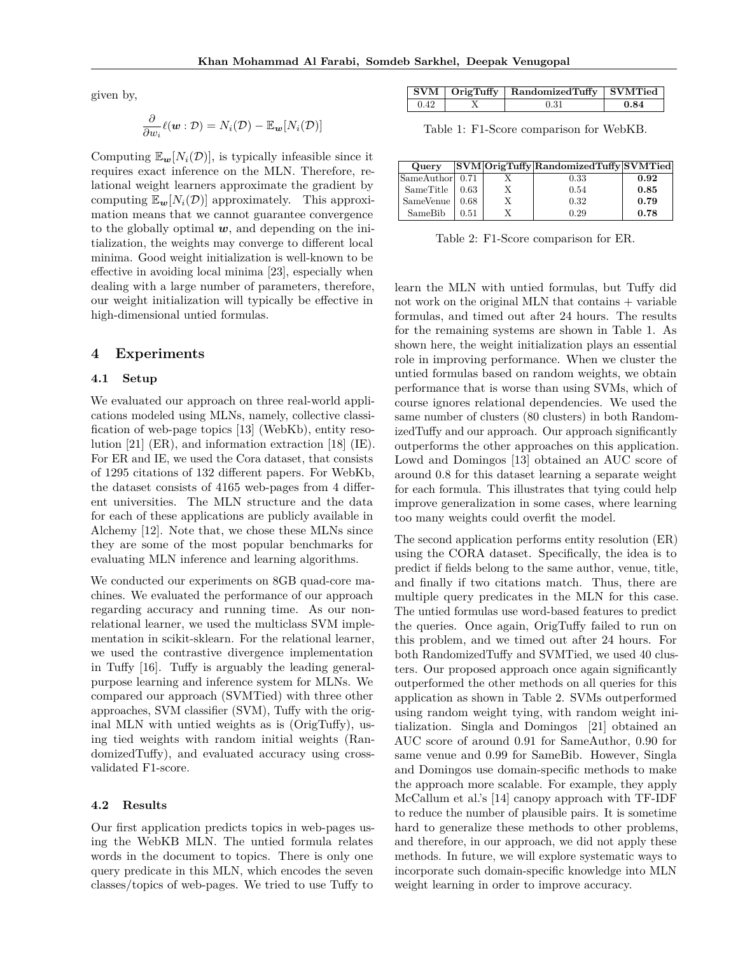given by,

$$
\frac{\partial}{\partial w_i}\ell(\mathbf{w}:\mathcal{D})=N_i(\mathcal{D})-\mathbb{E}_{\mathbf{w}}[N_i(\mathcal{D})]
$$

Computing  $\mathbb{E}_{w}[N_i(\mathcal{D})]$ , is typically infeasible since it requires exact inference on the MLN. Therefore, relational weight learners approximate the gradient by computing  $\mathbb{E}_{w}[N_i(\mathcal{D})]$  approximately. This approximation means that we cannot guarantee convergence to the globally optimal *w*, and depending on the initialization, the weights may converge to different local minima. Good weight initialization is well-known to be effective in avoiding local minima [23], especially when dealing with a large number of parameters, therefore, our weight initialization will typically be effective in high-dimensional untied formulas.

### **4 Experiments**

#### **4.1 Setup**

We evaluated our approach on three real-world applications modeled using MLNs, namely, collective classification of web-page topics [13] (WebKb), entity resolution [21] (ER), and information extraction [18] (IE). For ER and IE, we used the Cora dataset, that consists of 1295 citations of 132 different papers. For WebKb, the dataset consists of 4165 web-pages from 4 different universities. The MLN structure and the data for each of these applications are publicly available in Alchemy [12]. Note that, we chose these MLNs since they are some of the most popular benchmarks for evaluating MLN inference and learning algorithms.

We conducted our experiments on 8GB quad-core machines. We evaluated the performance of our approach regarding accuracy and running time. As our nonrelational learner, we used the multiclass SVM implementation in scikit-sklearn. For the relational learner, we used the contrastive divergence implementation in Tuffy [16]. Tuffy is arguably the leading generalpurpose learning and inference system for MLNs. We compared our approach (SVMTied) with three other approaches, SVM classifier (SVM), Tuffy with the original MLN with untied weights as is (OrigTuffy), using tied weights with random initial weights (RandomizedTuffy), and evaluated accuracy using crossvalidated F1-score.

#### **4.2 Results**

Our first application predicts topics in web-pages using the WebKB MLN. The untied formula relates words in the document to topics. There is only one query predicate in this MLN, which encodes the seven classes/topics of web-pages. We tried to use Tuffy to

|      | $SVM  $ OrigTuffy   RandomizedTuffy   SVMTied |      |
|------|-----------------------------------------------|------|
| 0.42 | 0.31                                          | 0.84 |

Table 1: F1-Score comparison for WebKB.

| Query            |      | SVM OrigTuffy RandomizedTuffy SVM Tied |      |
|------------------|------|----------------------------------------|------|
| SameAuthor 0.71  |      | 0.33                                   | 0.92 |
| SameTitle        | 0.63 | 0.54                                   | 0.85 |
| SameVenue   0.68 |      | 0.32                                   | 0.79 |
| SameBib          | 0.51 | 0.29                                   | 0.78 |

Table 2: F1-Score comparison for ER.

learn the MLN with untied formulas, but Tuffy did not work on the original MLN that contains + variable formulas, and timed out after 24 hours. The results for the remaining systems are shown in Table 1. As shown here, the weight initialization plays an essential role in improving performance. When we cluster the untied formulas based on random weights, we obtain performance that is worse than using SVMs, which of course ignores relational dependencies. We used the same number of clusters (80 clusters) in both RandomizedTuffy and our approach. Our approach significantly outperforms the other approaches on this application. Lowd and Domingos [13] obtained an AUC score of around 0.8 for this dataset learning a separate weight for each formula. This illustrates that tying could help improve generalization in some cases, where learning too many weights could overfit the model.

The second application performs entity resolution (ER) using the CORA dataset. Specifically, the idea is to predict if fields belong to the same author, venue, title, and finally if two citations match. Thus, there are multiple query predicates in the MLN for this case. The untied formulas use word-based features to predict the queries. Once again, OrigTuffy failed to run on this problem, and we timed out after 24 hours. For both RandomizedTuffy and SVMTied, we used 40 clusters. Our proposed approach once again significantly outperformed the other methods on all queries for this application as shown in Table 2. SVMs outperformed using random weight tying, with random weight initialization. Singla and Domingos [21] obtained an AUC score of around 0.91 for SameAuthor, 0.90 for same venue and 0.99 for SameBib. However, Singla and Domingos use domain-specific methods to make the approach more scalable. For example, they apply McCallum et al.'s [14] canopy approach with TF-IDF to reduce the number of plausible pairs. It is sometime hard to generalize these methods to other problems, and therefore, in our approach, we did not apply these methods. In future, we will explore systematic ways to incorporate such domain-specific knowledge into MLN weight learning in order to improve accuracy.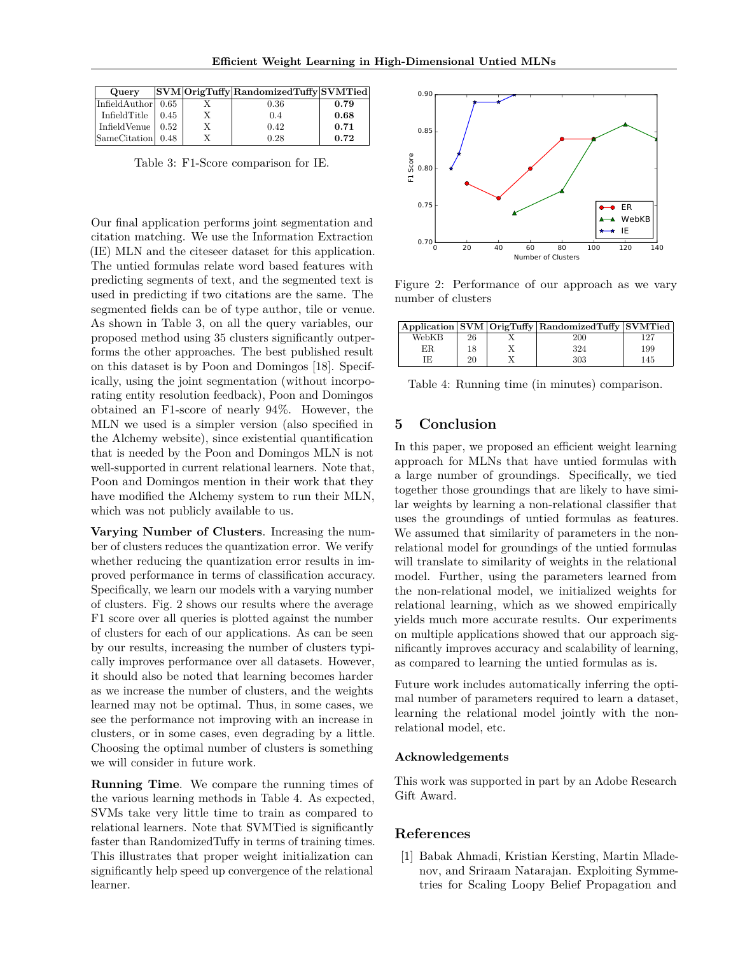| <b>Query</b>                     |      | SVM OrigTuffy RandomizedTuffy SVM Tied |      |
|----------------------------------|------|----------------------------------------|------|
| InfieldAuthor $0.65$             |      | 0.36                                   | 0.79 |
| InfieldTitle                     | 0.45 | 0.4                                    | 0.68 |
| Infield Venue $\vert 0.52 \vert$ |      | 0.42                                   | 0.71 |
| SameCitation 0.48                |      | 0.28                                   | 0.72 |

Table 3: F1-Score comparison for IE.

Our final application performs joint segmentation and citation matching. We use the Information Extraction (IE) MLN and the citeseer dataset for this application. The untied formulas relate word based features with predicting segments of text, and the segmented text is used in predicting if two citations are the same. The segmented fields can be of type author, tile or venue. As shown in Table 3, on all the query variables, our proposed method using 35 clusters significantly outperforms the other approaches. The best published result on this dataset is by Poon and Domingos [18]. Specifically, using the joint segmentation (without incorporating entity resolution feedback), Poon and Domingos obtained an F1-score of nearly 94%. However, the MLN we used is a simpler version (also specified in the Alchemy website), since existential quantification that is needed by the Poon and Domingos MLN is not well-supported in current relational learners. Note that, Poon and Domingos mention in their work that they have modified the Alchemy system to run their MLN, which was not publicly available to us.

**Varying Number of Clusters**. Increasing the number of clusters reduces the quantization error. We verify whether reducing the quantization error results in improved performance in terms of classification accuracy. Specifically, we learn our models with a varying number of clusters. Fig. 2 shows our results where the average F1 score over all queries is plotted against the number of clusters for each of our applications. As can be seen by our results, increasing the number of clusters typically improves performance over all datasets. However, it should also be noted that learning becomes harder as we increase the number of clusters, and the weights learned may not be optimal. Thus, in some cases, we see the performance not improving with an increase in clusters, or in some cases, even degrading by a little. Choosing the optimal number of clusters is something we will consider in future work.

**Running Time**. We compare the running times of the various learning methods in Table 4. As expected, SVMs take very little time to train as compared to relational learners. Note that SVMTied is significantly faster than RandomizedTuffy in terms of training times. This illustrates that proper weight initialization can significantly help speed up convergence of the relational learner.



Figure 2: Performance of our approach as we vary number of clusters

|       |    | Application SVM OrigTuffy RandomizedTuffy SVMTied |     |
|-------|----|---------------------------------------------------|-----|
| WebKB | 26 | 200                                               |     |
| ΕR    | 18 | 324                                               | 199 |
|       | 20 | 303                                               | 145 |

Table 4: Running time (in minutes) comparison.

### **5 Conclusion**

In this paper, we proposed an efficient weight learning approach for MLNs that have untied formulas with a large number of groundings. Specifically, we tied together those groundings that are likely to have similar weights by learning a non-relational classifier that uses the groundings of untied formulas as features. We assumed that similarity of parameters in the nonrelational model for groundings of the untied formulas will translate to similarity of weights in the relational model. Further, using the parameters learned from the non-relational model, we initialized weights for relational learning, which as we showed empirically yields much more accurate results. Our experiments on multiple applications showed that our approach significantly improves accuracy and scalability of learning, as compared to learning the untied formulas as is.

Future work includes automatically inferring the optimal number of parameters required to learn a dataset, learning the relational model jointly with the nonrelational model, etc.

#### **Acknowledgements**

This work was supported in part by an Adobe Research Gift Award.

## **References**

[1] Babak Ahmadi, Kristian Kersting, Martin Mladenov, and Sriraam Natarajan. Exploiting Symmetries for Scaling Loopy Belief Propagation and